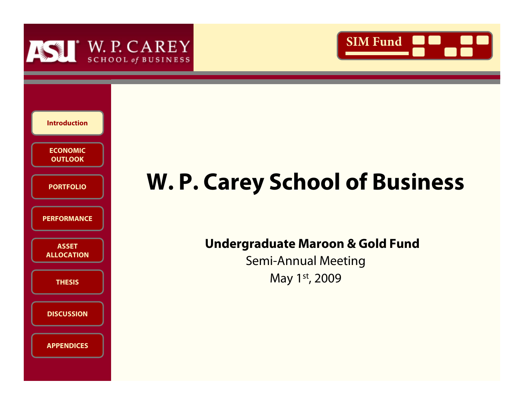





# **W. P. Carey School of Business**

**Undergraduate Maroon & Gold Fund**

Semi-Annual Meeting May 1st, 2009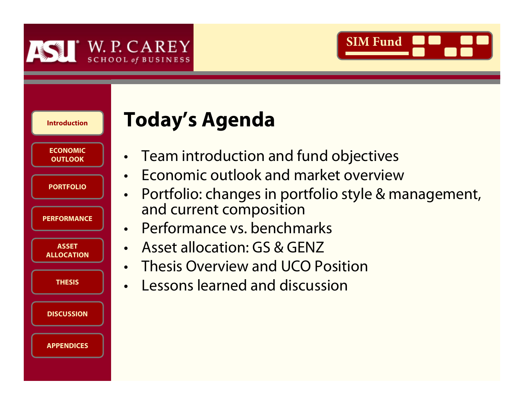



| <b>Introduction</b>               |
|-----------------------------------|
| <b>ECONOMIC</b><br><b>OUTLOOK</b> |
| <b>PORTFOLIO</b>                  |
| <b>PERFORMANCE</b>                |
| <b>ASSET</b><br><b>ALLOCATION</b> |
| <b>THESIS</b>                     |
| <b>DISCUSSION</b>                 |
| <b>APPENDICES</b>                 |

# **Today's Agenda**

- •Team introduction and fund objectives
- •Economic outlook and market overview
- • Portfolio: changes in portfolio style & management, and current composition
- •Performance vs. benchmarks
- •Asset allocation: GS & GENZ
- •Thesis Overview and UCO Position
- •Lessons learned and discussion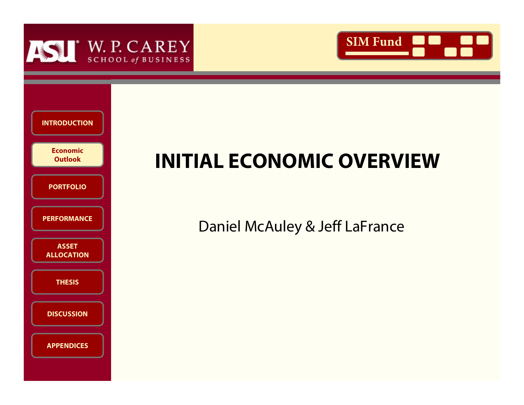





# **INITIAL ECONOMIC OVERVIEW**

### Daniel McAuley & Jeff LaFrance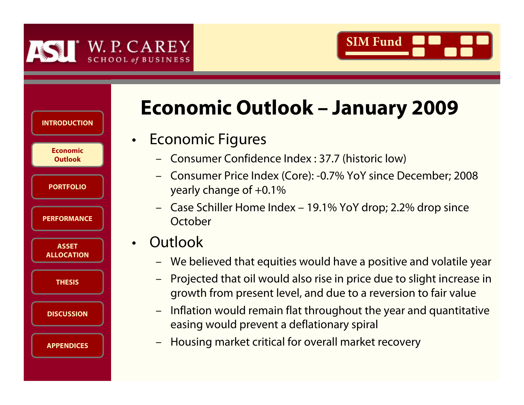



| <b>INTRODUCTION</b>               |
|-----------------------------------|
| Economic<br><b>Outlook</b>        |
| <b>PORTFOLIO</b>                  |
| <b>PERFORMANCE</b>                |
| <b>ASSET</b><br><b>ALLOCATION</b> |
| <b>THESIS</b>                     |
| <b>DISCUSSION</b>                 |
| <b>APPENDICES</b>                 |

# **Economic Outlook – January 2009**

## Economic Figures

- Consumer Confidence Index : 37.7 (historic low)
- Consumer Price Index (Core): -0.7% YoY since December; 2008 yearly change of +0.1%
- Case Schiller Home Index 19.1% YoY drop; 2.2% drop since **October**
- •**Outlook** 
	- We believed that equities would have a positive and volatile year
	- – Projected that oil would also rise in price due to slight increase in growth from present level, and due to a reversion to fair value
	- – Inflation would remain flat throughout the year and quantitative easing would prevent a deflationary spiral
	- –Housing market critical for overall market recovery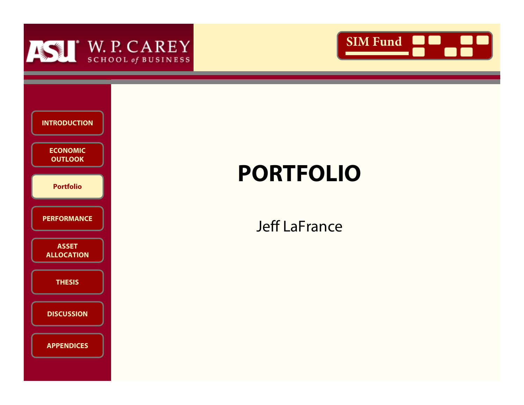





# **PORTFOLIO**

### Jeff LaFrance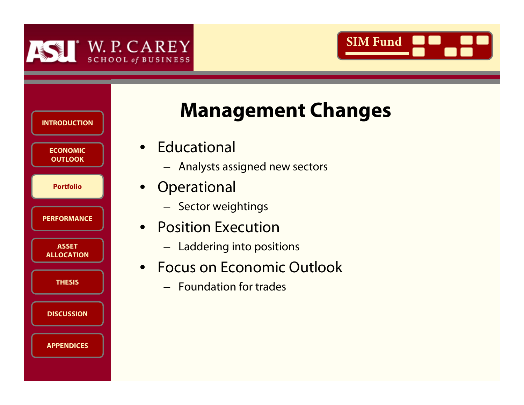



| <b>INTRODUCTION</b>               |  |
|-----------------------------------|--|
| <b>ECONOMIC</b><br><b>OUTLOOK</b> |  |
| <b>Portfolio</b>                  |  |
| <b>PERFORMANCE</b>                |  |
| <b>ASSET</b><br><b>ALLOCATION</b> |  |
| <b>THESIS</b>                     |  |
| <b>DISCUSSION</b>                 |  |
| <b>APPENDICES</b>                 |  |

# **Management Changes**

- Educational
	- Analysts assigned new sectors
- Operational
	- Sector weightings
- Position Execution
	- Laddering into positions
- Focus on Economic Outlook
	- Foundation for trades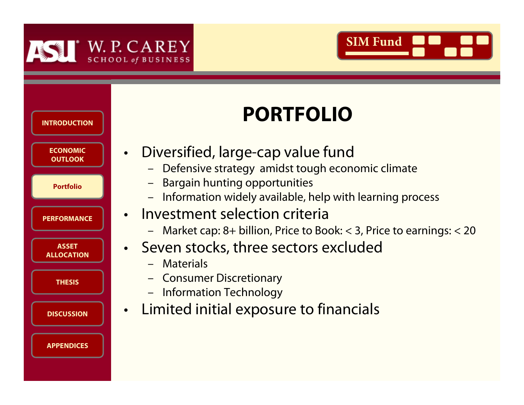

•



# **ECONOMIC ECONOMIC OUTLOOKEconomic OutlookOUTLOOKPORTFOLIOPortfolioPORTFOLIOPortfolioPERFORMANCEPERFORMANCEASSET ASSET ALLOCATIONALLOCATIONTHESISTHESISDISCUSSIONDISCUSSIONPORTFOLIOINTRODUCTIONAPPENDICESAPPENDICES**

# **PORTFOLIO**

- Diversified, large-cap value fund
	- –Defensive strategy amidst tough economic climate
	- –Bargain hunting opportunities
	- –Information widely available, help with learning process
- • Investment selection criteria
	- –Market cap: 8+ billion, Price to Book: < 3, Price to earnings: < 20
- • Seven stocks, three sectors excluded
	- –**Materials**
	- –Consumer Discretionary
	- –Information Technology
- Limited initial exposure to financials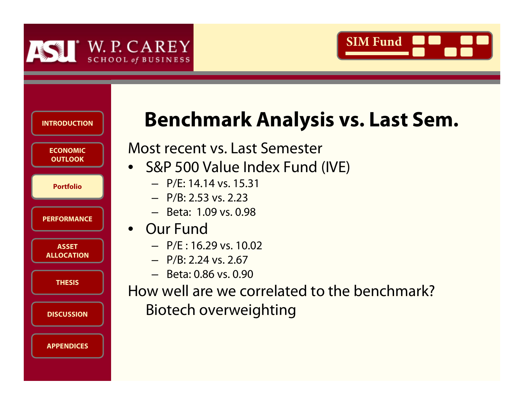



| <b>INTRODUCTION</b>               |  |
|-----------------------------------|--|
| <b>ECONOMIC</b><br><b>OUTLOOK</b> |  |
| <b>Portfolio</b>                  |  |
| <b>PERFORMANCE</b>                |  |
| <b>ASSET</b><br><b>ALLOCATION</b> |  |
| <b>THESIS</b>                     |  |
| <b>DISCUSSION</b>                 |  |
| <b>APPENDICES</b>                 |  |

# **Benchmark Analysis vs. Last Sem.**

Most recent vs. Last Semester

- S&P 500 Value Index Fund (IVE)
	- P/E: 14.14 vs. 15.31
	- P/B: 2.53 vs. 2.23
	- Beta: 1.09 vs. 0.98
- Our Fund
	- $-$  P/F : 16.29 vs. 10.02
	- $-$  P/B: 2.24 vs. 2.67
	- Beta: 0.86 vs. 0.90

How well are we correlated to the benchmark?Biotech overweighting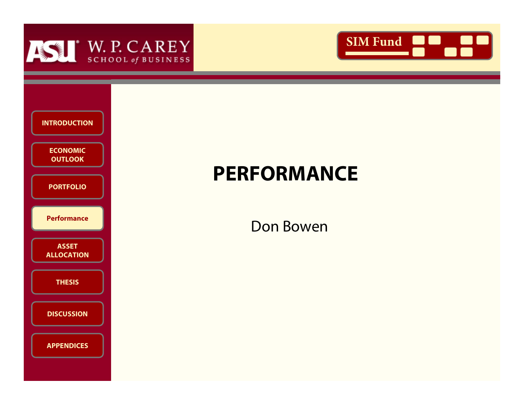





# **PERFORMANCE**

Don Bowen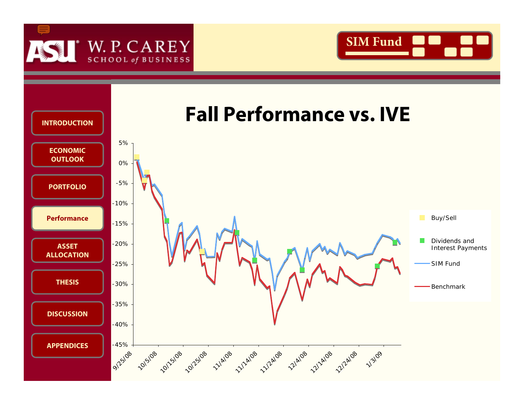



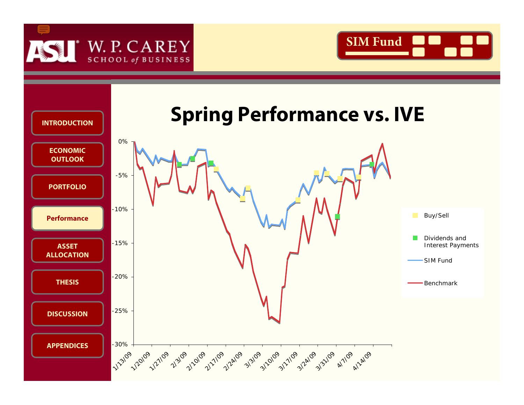



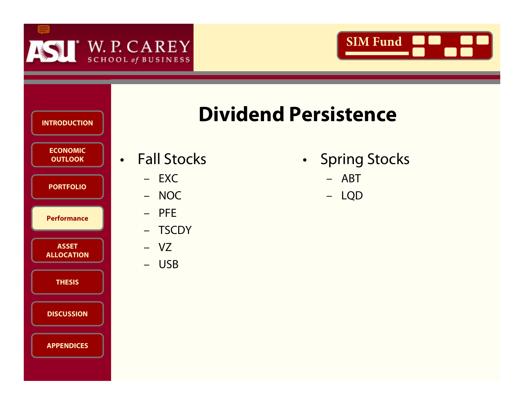





# **Dividend Persistence**

- Fall Stocks
	- EXC
	- NOC
	- PFE
	- –**TSCDY**
	- VZ
	- USB
- •• Spring Stocks
	- ABT
	- LQD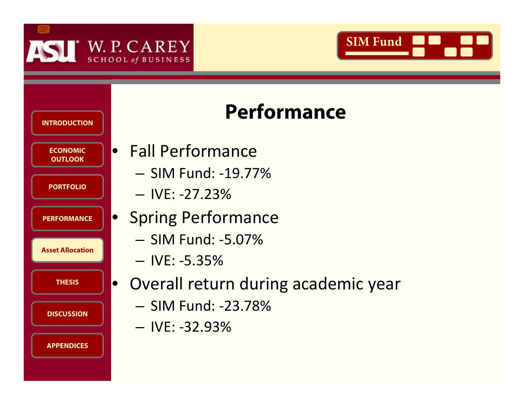







- Fall Performance
	- SIM Fund: ‐19.77%
	- IVE: ‐27.23%
- Spring Performance
	- SIM Fund: ‐5.07%
	- IVE: ‐5.35%
- Overall return during academic year
	- SIM Fund: ‐23.78%
	- IVE: ‐32.93%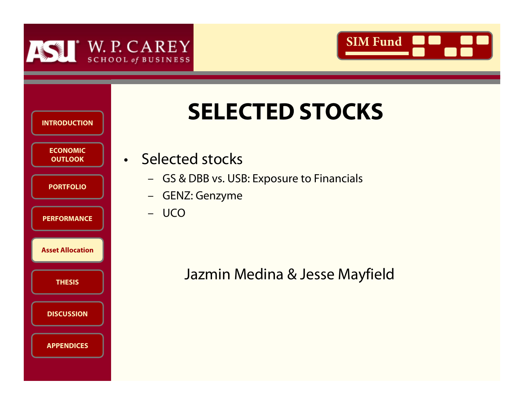



|                                   | <b>SELECTED STOCKS</b>                                        |
|-----------------------------------|---------------------------------------------------------------|
| <b>INTRODUCTION</b>               |                                                               |
| <b>ECONOMIC</b><br><b>OUTLOOK</b> | · Selected stocks                                             |
| <b>PORTFOLIO</b>                  | - GS & DBB vs. USB: Exposure to Financials<br>- GENZ: Genzyme |
| <b>PERFORMANCE</b>                | - UCO                                                         |
| <b>Asset Allocation</b>           |                                                               |
| <b>THESIS</b>                     | Jazmin Medina & Jesse Mayfield                                |
| <b>DISCUSSION</b>                 |                                                               |
| <b>APPENDICES</b>                 |                                                               |
|                                   |                                                               |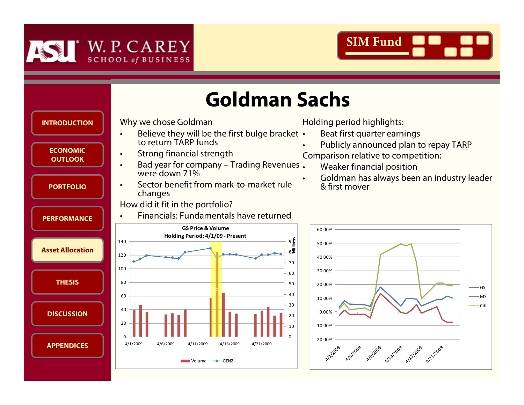



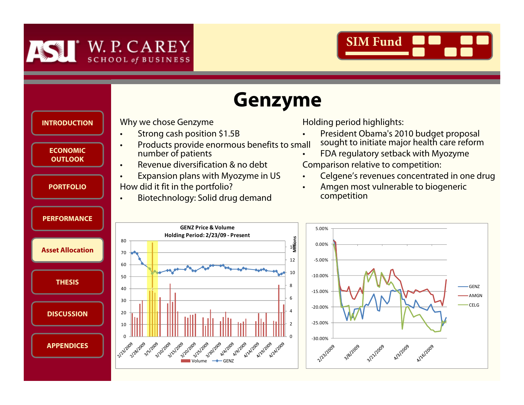



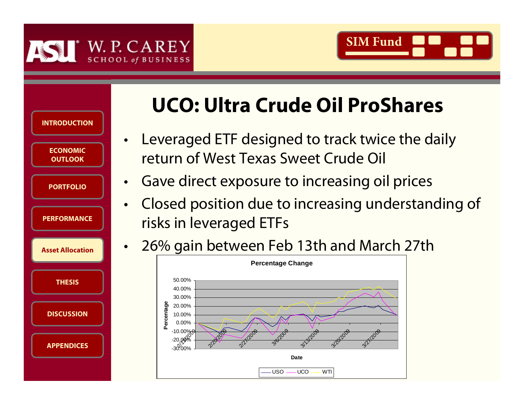



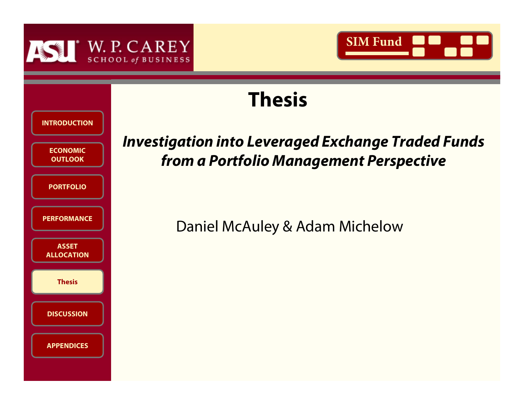



# **Thesis**

| <b>INTRODUCTION</b>               |
|-----------------------------------|
| <b>ECONOMIC</b><br><b>OUTLOOK</b> |
| <b>PORTFOLIO</b>                  |
| <b>PERFORMANCE</b>                |
| <b>ASSET</b><br><b>ALLOCATION</b> |
| <b>Thesis</b>                     |
| <b>DISCUSSION</b>                 |
| <b>APPENDICES</b>                 |

# FORINGING **INVESTIGATION INTO LEVERAGED AT A PORTFOLIO**<br>
DATEGLIO<br> **THESIS FORINANCE**<br> **THESIS COCATION**<br> **Thesis**<br> **Thesis from a Portfolio Management Perspective**

Daniel McAuley & Adam Michelow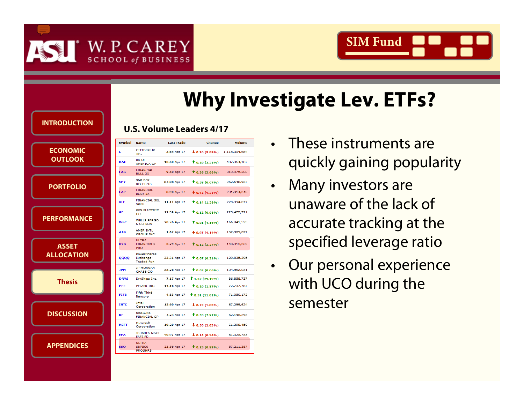



### **PORTFOLIOINTRODUCTIONU.S. Volume Leaders 4/17**

**ECONOMIC ECONOMIC OUTLOOKEconomic OutlookOUTLOOK**

**PORTFOLIOPORTFOLIO**

**PERFORMANCEPERFORMANCE**

**ASSET ASSET ALLOCATIONALLOCATION**

**THESISTHESISThesis**

**DISCUSSIONDISCUSSION**

**APPENDICESAPPENDICES**

|                  |             |                                                 |                   |                                 |               | <b>Why Investigate Lev. ETFs?</b> |
|------------------|-------------|-------------------------------------------------|-------------------|---------------------------------|---------------|-----------------------------------|
| <b>RODUCTION</b> |             |                                                 |                   | <b>U.S. Volume Leaders 4/17</b> |               |                                   |
|                  | Symbol      | <b>Name</b>                                     | <b>Last Trade</b> | <b>Change</b>                   | <b>Volume</b> | These instruments are             |
| <b>CONOMIC</b>   | c           | <b>CITIGROUP</b><br><b>INC</b>                  | 3.65 Apr 17       | $\frac{1}{2}$ 0.36 (8.98%)      | 1,115,304,684 |                                   |
| <b>UTLOOK</b>    | <b>BAC</b>  | <b>BK OF</b><br><b>AMERICA CP</b>               | 10.60 Apr 17      | $\hat{T}$ 0.26 (2.51%)          | 487, 364, 187 | quickly gaining popula            |
|                  | <b>FAS</b>  | <b>FINANCIAL</b><br><b>BULL 3X</b>              | 9.40 Apr 17       | $\uparrow$ 0.36 (3.98%)         | 319,975,260   |                                   |
|                  | <b>SPY</b>  | S&P DEP<br><b>RECEIPTS</b>                      | 87.08 Apr 17      | $\hat{T}$ 0.58 (0.67%)          | 262,648,937   |                                   |
| <b>DRTFOLIO</b>  | <b>FAZ</b>  | <b>FINANCIAL</b><br>BEAR 3X                     | 8.90 Apr 17       | $\bullet$ 0.42 (4.51%)          | 231,914,243   | Many investors are                |
|                  | <b>XLF</b>  | <b>FINANCIAL SEL</b><br><b>SPDR</b>             | 11.11 Apr 17      | $\uparrow$ 0.14 (1.28%)         | 228,394,077   | unaware of the lack of            |
|                  | <b>GE</b>   | <b>GEN ELECTRIC</b><br><b>CO</b>                | 12.39 Apr 17      | $\uparrow$ 0.12 (0.98%)         | 223,472,721   |                                   |
| <b>FORMANCE</b>  | <b>WFC</b>  | <b>WELLS FARGO</b><br>& CO NEW                  | 20.26 Apr 17      | 10.81(4.16%)                    | 166,941,535   | accurate tracking at th           |
|                  | <b>AIG</b>  | AMER INTL<br><b>GROUP INC</b>                   | 1.62 Apr 17       | $\bigstar$ 0.07 (4.14%)         | 162,389,027   |                                   |
| <b>ASSET</b>     | <b>UYG</b>  | <b>ULTRA</b><br><b>FINANCIALS</b><br><b>PRO</b> | 3.79 Apr 17       | 10.12(3.27%)                    | 148, 313, 269 | specified leverage ration         |
| <b>LOCATION</b>  | QQQQ        | PowerShares<br>Exchange-<br><b>Traded Fun</b>   | 33.31 Apr 17      | 10.07(0.21%)                    | 129,835,395   |                                   |
|                  | <b>JPM</b>  | <b>JP MORGAN</b><br>CHASE CO                    | 33.26 Apr 17      | $\hat{T}$ 0.02 (0.06%)          | 104,962,031   | Our personal experien             |
| <b>Thesis</b>    | <b>DRYS</b> | DryShips Inc.                                   | 7.17 Apr 17       | <b>1.62</b> (29.19%)            | 86,858,737    |                                   |
|                  | <b>PFE</b>  | <b>PFIZER INC</b><br>Fifth Third                | 14.16 Apr 17      | 10.26(1.87%)                    | 72,737,787    | with UCO during the               |
|                  | <b>FITB</b> | Bancorp                                         | 4.83 Apr 17       | $\uparrow$ 0.51 (11.81%)        | 71,050,172    |                                   |
|                  | <b>INTC</b> | Intel<br>Corporation                            | 15.60 Apr 17      | $\bigstar$ 0.29 (1.83%)         | 67,299,624    | semester                          |
| <b>SCUSSION</b>  | <b>RF</b>   | <b>REGIONS</b><br><b>FINANCIAL CP</b>           | 7.23 Apr 17       | $\uparrow$ 0.53 (7.91%)         | 62,195,293    |                                   |
|                  | <b>MSFT</b> | Microsoft<br>Corporation                        | 19.20 Apr 17      | $\bigstar$ 0.56 (2.83%)         | 61,398,450    |                                   |
|                  | <b>EFA</b>  | <b>ISHARES MSCI</b><br><b>EAFE FD</b>           | 40.97 Apr 17      | $\bigstar$ 0.14 (0.34%)         | 61,325,753    |                                   |
| <b>PENDICES</b>  | <b>SSO</b>  | <b>ULTRA</b><br>S&P500<br><b>PROSHRS</b>        | 23.56 Apr 17      | $\hat{T}$ 0.23 (0.99%)          | 57,211,387    |                                   |

- • These instruments are quickly gaining popularity
- • Many investors are unaware of the lack of accurate tracking at the specified leverage ratio
- •• Our personal experience with UCO during the semester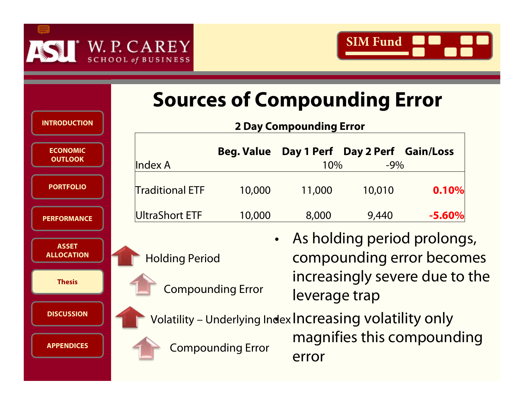



|                                   | <b>Sources of Compounding Error</b> |                                                          |           |                                                          |                                     |  |  |  |
|-----------------------------------|-------------------------------------|----------------------------------------------------------|-----------|----------------------------------------------------------|-------------------------------------|--|--|--|
| <b>INTRODUCTION</b>               |                                     | <b>2 Day Compounding Error</b>                           |           |                                                          |                                     |  |  |  |
| <b>ECONOMIC</b><br><b>OUTLOOK</b> | Index A                             | <b>Beg. Value</b>                                        | 10%       | Day 1 Perf Day 2 Perf Gain/Loss<br>$-9\%$                |                                     |  |  |  |
| <b>PORTFOLIO</b>                  | <b>Traditional ETF</b>              | 10,000                                                   | 11,000    | 10,010                                                   | 0.10%                               |  |  |  |
| <b>PERFORMANCE</b>                | UltraShort ETF                      | 10,000                                                   | 8,000     | 9,440                                                    | $-5.60%$                            |  |  |  |
| <b>ASSET</b><br><b>ALLOCATION</b> | <b>Holding Period</b>               |                                                          | $\bullet$ | As holding period prolongs,<br>compounding error becomes |                                     |  |  |  |
| <b>Thesis</b>                     |                                     | <b>Compounding Error</b>                                 |           | increasingly severe due to the<br>leverage trap          |                                     |  |  |  |
| <b>DISCUSSION</b>                 |                                     | Volatility - Underlying Index Increasing volatility only |           |                                                          |                                     |  |  |  |
| <b>APPENDICES</b>                 |                                     | <b>Compounding Error</b>                                 |           |                                                          | magnifies this compounding<br>error |  |  |  |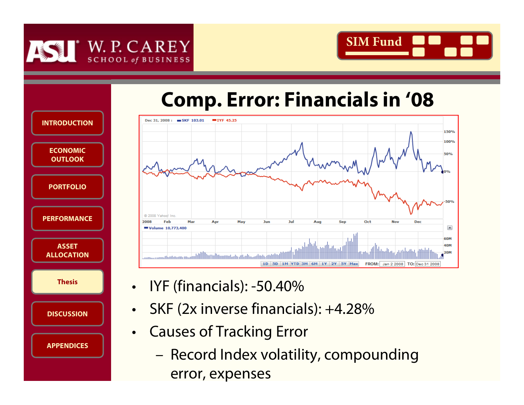



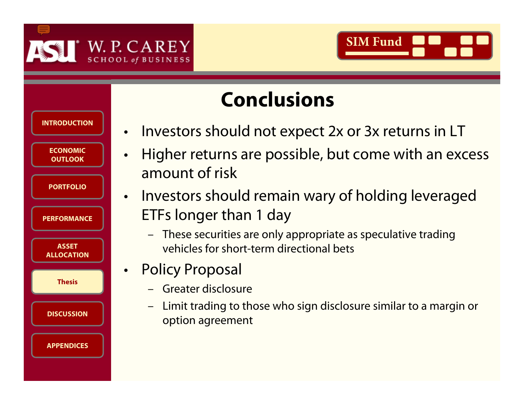



| <b>Conclusions</b> |
|--------------------|
|                    |



- •Investors should not expect 2x or 3x returns in LT
- • Higher returns are possible, but come with an excess amount of risk
- • Investors should remain wary of holding leveraged ETFs longer than 1 day
	- – These securities are only appropriate as speculative trading vehicles for short-term directional bets
- • Policy Proposal
	- –Greater disclosure
	- – Limit trading to those who sign disclosure similar to a margin or option agreement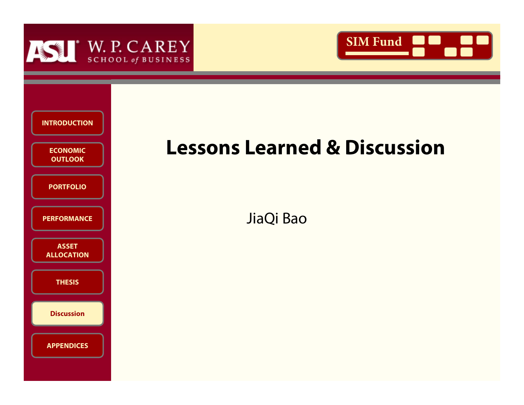





## **Lessons Learned & Discussion**

JiaQi Bao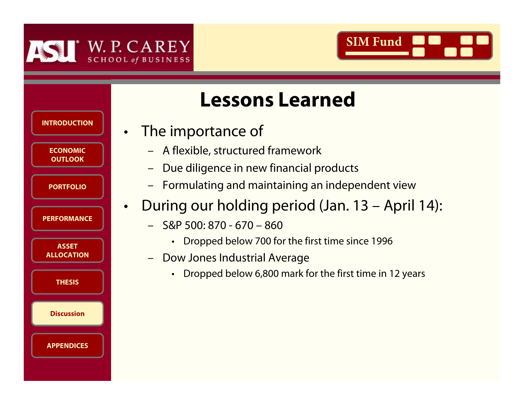

•





# **Lessons Learned**

## The importance of

- –A flexible, structured framework
- –Due diligence in new financial products
- –Formulating and maintaining an independent view
- During our holding period (Jan. 13 April 14):
	- – S&P 500: 870 - 670 – 860
		- •Dropped below 700 for the first time since 1996
	- Dow Jones Industrial Average
		- $\bullet$ Dropped below 6,800 mark for the first time in 12 years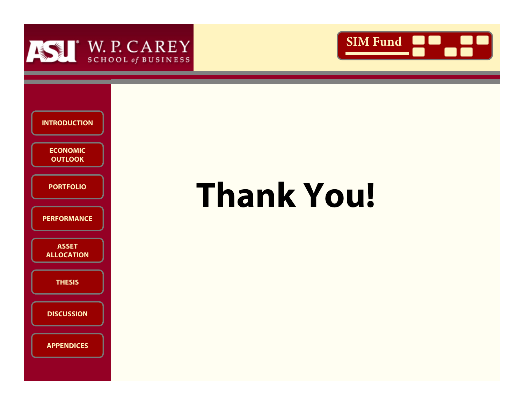





# **Thank You!**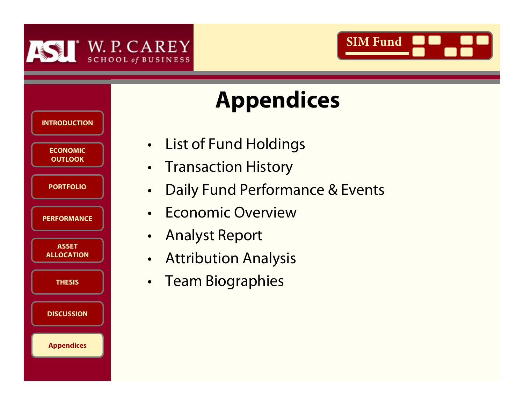



# **Appendices**

| <b>INTRODUCTION</b>               |  |
|-----------------------------------|--|
| <b>ECONOMIC</b><br><b>OUTLOOK</b> |  |
| <b>PORTFOLIO</b>                  |  |
| <b>PERFORMANCE</b>                |  |
| <b>ASSET</b><br><b>ALLOCATION</b> |  |
| <b>THESIS</b>                     |  |
| <b>DISCUSSION</b>                 |  |
| <b>Appendices</b>                 |  |

- •List of Fund Holdings
- •Transaction History
- •Daily Fund Performance & Events
- •Economic Overview
- $\bullet$ Analyst Report
- $\bullet$ Attribution Analysis
- $\bullet$ Team Biographies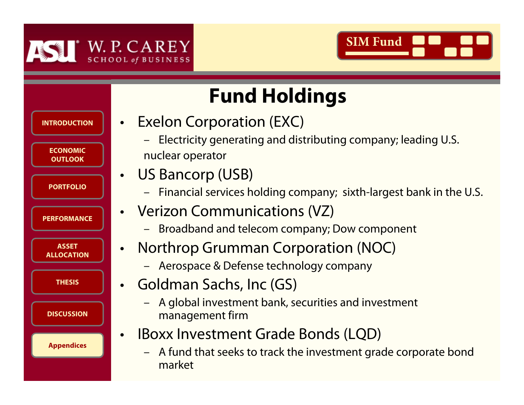



### **ECONOMIC ECONOMIC OUTLOOKEconomic OutlookOUTLOOKPORTFOLIOPORTFOLIOPERFORMANCEPERFORMANCEASSET ASSET ALLOCATIONALLOCATIONTHESISTHESISDISCUSSIONDISCUSSIONPORTFOLIOINTRODUCTIONAppendices APPENDICESAppendices Fund Holdings**  $\bullet$  Exelon Corporation (EXC) –nuclear operator • US Bancorp (USB) • Verizon Communications (VZ) •• Goldman Sachs, Inc (GS) –management firm •–market

- Electricity generating and distributing company; leading U.S.
- Financial services holding company; sixth-largest bank in the U.S.
- Broadband and telecom company; Dow component
- Northrop Grumman Corporation (NOC)
	- Aerospace & Defense technology company
	- A global investment bank, securities and investment
- IBoxx Investment Grade Bonds (LQD)
	- A fund that seeks to track the investment grade corporate bond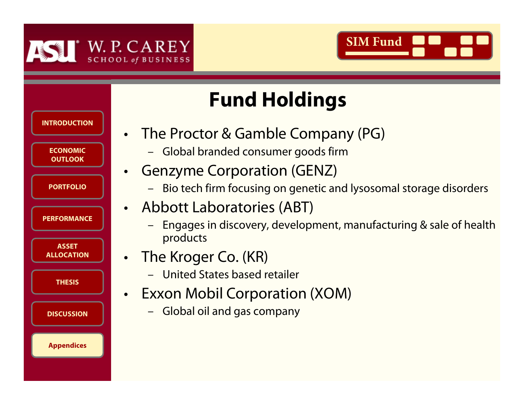

•

•





# **Fund Holdings**

- The Proctor & Gamble Company (PG)
	- –Global branded consumer goods firm
- • Genzyme Corporation (GENZ)
	- –Bio tech firm focusing on genetic and lysosomal storage disorders
- Abbott Laboratories (ABT)
	- – Engages in discovery, development, manufacturing & sale of health products
- The Kroger Co. (KR)
	- –United States based retailer
- • Exxon Mobil Corporation (XOM)
	- –Global oil and gas company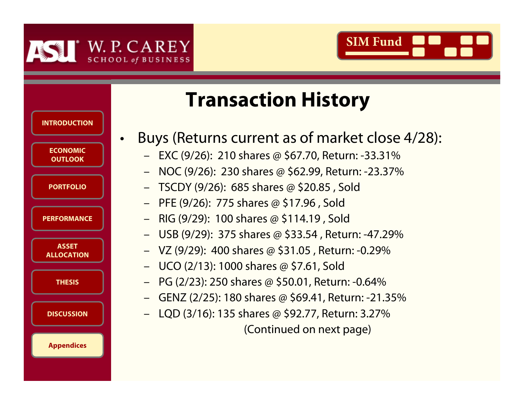





# **Transaction History**

- Buys (Returns current as of market close 4/28):
	- EXC (9/26): 210 shares @ \$67.70, Return: -33.31%
	- NOC (9/26): 230 shares @ \$62.99, Return: -23.37%
	- –TSCDY (9/26): 685 shares @ \$20.85 , Sold
	- PFE (9/26): 775 shares @ \$17.96 , Sold
	- RIG (9/29): 100 shares @ \$114.19 , Sold
	- USB (9/29): 375 shares @ \$33.54 , Return: -47.29%
	- VZ (9/29): 400 shares @ \$31.05 , Return: -0.29%
	- UCO (2/13): 1000 shares @ \$7.61, Sold
	- PG (2/23): 250 shares @ \$50.01, Return: -0.64%
	- GENZ (2/25): 180 shares @ \$69.41, Return: -21.35%
	- –LQD (3/16): 135 shares @ \$92.77, Return: 3.27%

(Continued on next page)